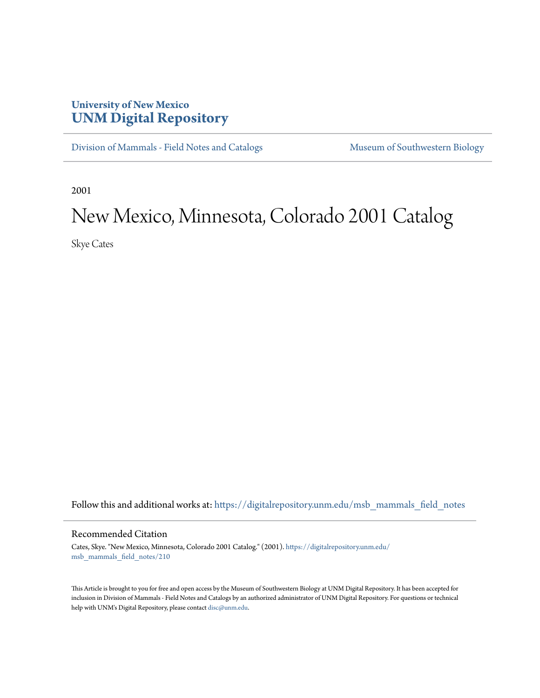## **University of New Mexico [UNM Digital Repository](https://digitalrepository.unm.edu?utm_source=digitalrepository.unm.edu%2Fmsb_mammals_field_notes%2F210&utm_medium=PDF&utm_campaign=PDFCoverPages)**

[Division of Mammals - Field Notes and Catalogs](https://digitalrepository.unm.edu/msb_mammals_field_notes?utm_source=digitalrepository.unm.edu%2Fmsb_mammals_field_notes%2F210&utm_medium=PDF&utm_campaign=PDFCoverPages) [Museum of Southwestern Biology](https://digitalrepository.unm.edu/msb?utm_source=digitalrepository.unm.edu%2Fmsb_mammals_field_notes%2F210&utm_medium=PDF&utm_campaign=PDFCoverPages)

2001

## New Mexico, Minnesota, Colorado 2001 Catalog

Skye Cates

Follow this and additional works at: [https://digitalrepository.unm.edu/msb\\_mammals\\_field\\_notes](https://digitalrepository.unm.edu/msb_mammals_field_notes?utm_source=digitalrepository.unm.edu%2Fmsb_mammals_field_notes%2F210&utm_medium=PDF&utm_campaign=PDFCoverPages)

## Recommended Citation

Cates, Skye. "New Mexico, Minnesota, Colorado 2001 Catalog." (2001). [https://digitalrepository.unm.edu/](https://digitalrepository.unm.edu/msb_mammals_field_notes/210?utm_source=digitalrepository.unm.edu%2Fmsb_mammals_field_notes%2F210&utm_medium=PDF&utm_campaign=PDFCoverPages) [msb\\_mammals\\_field\\_notes/210](https://digitalrepository.unm.edu/msb_mammals_field_notes/210?utm_source=digitalrepository.unm.edu%2Fmsb_mammals_field_notes%2F210&utm_medium=PDF&utm_campaign=PDFCoverPages)

This Article is brought to you for free and open access by the Museum of Southwestern Biology at UNM Digital Repository. It has been accepted for inclusion in Division of Mammals - Field Notes and Catalogs by an authorized administrator of UNM Digital Repository. For questions or technical help with UNM's Digital Repository, please contact [disc@unm.edu](mailto:disc@unm.edu).